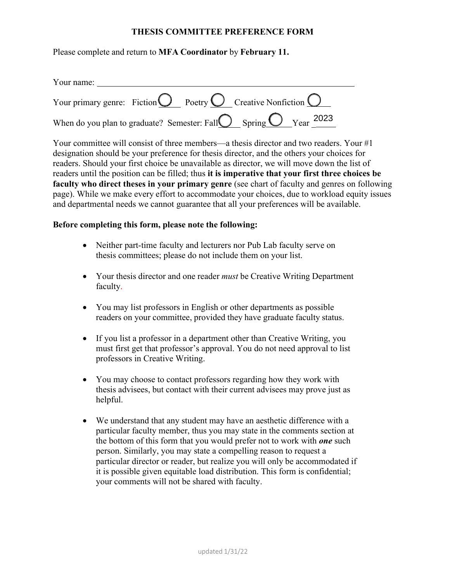## **THESIS COMMITTEE PREFERENCE FORM**

Please complete and return to **MFA Coordinator** by **February 11.** 

| Your name:                                                                              |
|-----------------------------------------------------------------------------------------|
| Your primary genre: Fiction $\bigcirc$ Poetry $\bigcirc$ Creative Nonfiction $\bigcirc$ |
| When do you plan to graduate? Semester: Fall $\bigcirc$ Spring $\bigcirc$ Year 2023     |

Your committee will consist of three members—a thesis director and two readers. Your #1 designation should be your preference for thesis director, and the others your choices for readers. Should your first choice be unavailable as director, we will move down the list of readers until the position can be filled; thus **it is imperative that your first three choices be faculty who direct theses in your primary genre** (see chart of faculty and genres on following page). While we make every effort to accommodate your choices, due to workload equity issues and departmental needs we cannot guarantee that all your preferences will be available.

## **Before completing this form, please note the following:**

- Neither part-time faculty and lecturers nor Pub Lab faculty serve on thesis committees; please do not include them on your list.
- Your thesis director and one reader *must* be Creative Writing Department faculty.
- You may list professors in English or other departments as possible readers on your committee, provided they have graduate faculty status.
- If you list a professor in a department other than Creative Writing, you must first get that professor's approval. You do not need approval to list professors in Creative Writing.
- You may choose to contact professors regarding how they work with thesis advisees, but contact with their current advisees may prove just as helpful.
- We understand that any student may have an aesthetic difference with a particular faculty member, thus you may state in the comments section at the bottom of this form that you would prefer not to work with *one* such person. Similarly, you may state a compelling reason to request a particular director or reader, but realize you will only be accommodated if it is possible given equitable load distribution. This form is confidential; your comments will not be shared with faculty.